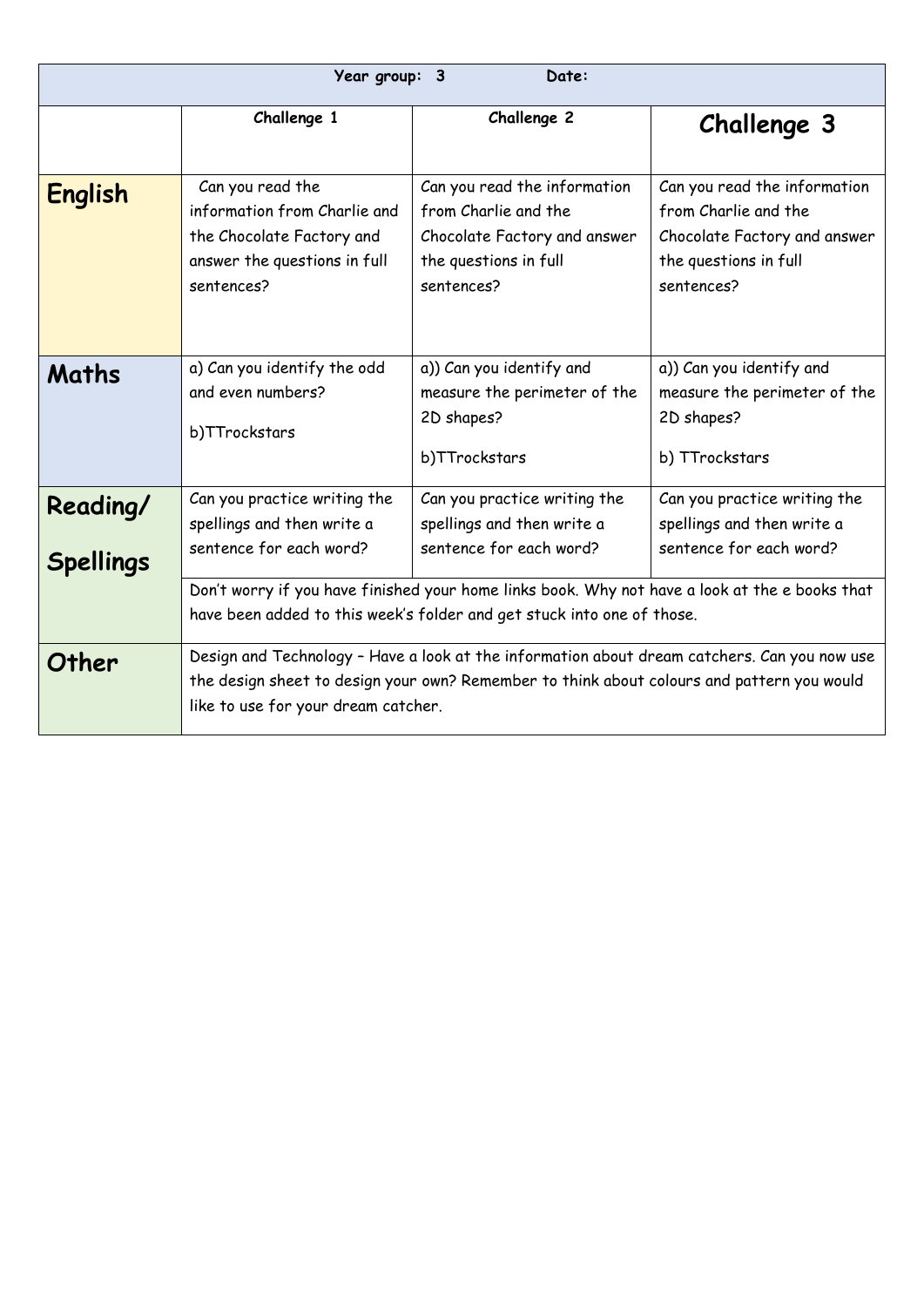|                              | Year group: 3                                                                                                               | Date:                                                                                                                                                                                                                                                             |                                                                                                                             |
|------------------------------|-----------------------------------------------------------------------------------------------------------------------------|-------------------------------------------------------------------------------------------------------------------------------------------------------------------------------------------------------------------------------------------------------------------|-----------------------------------------------------------------------------------------------------------------------------|
|                              | Challenge 1                                                                                                                 | Challenge 2                                                                                                                                                                                                                                                       | <b>Challenge 3</b>                                                                                                          |
| <b>English</b>               | Can you read the<br>information from Charlie and<br>the Chocolate Factory and<br>answer the questions in full<br>sentences? | Can you read the information<br>from Charlie and the<br>Chocolate Factory and answer<br>the questions in full<br>sentences?                                                                                                                                       | Can you read the information<br>from Charlie and the<br>Chocolate Factory and answer<br>the questions in full<br>sentences? |
| <b>Maths</b>                 | a) Can you identify the odd<br>and even numbers?<br>b)TTrockstars                                                           | a)) Can you identify and<br>measure the perimeter of the<br>2D shapes?<br>b)TTrockstars                                                                                                                                                                           | a)) Can you identify and<br>measure the perimeter of the<br>2D shapes?<br>b) TTrockstars                                    |
| Reading/<br><b>Spellings</b> | Can you practice writing the<br>spellings and then write a<br>sentence for each word?                                       | Can you practice writing the<br>spellings and then write a<br>sentence for each word?<br>Don't worry if you have finished your home links book. Why not have a look at the e books that<br>have been added to this week's folder and get stuck into one of those. | Can you practice writing the<br>spellings and then write a<br>sentence for each word?                                       |
| Other                        | like to use for your dream catcher.                                                                                         | Design and Technology - Have a look at the information about dream catchers. Can you now use<br>the design sheet to design your own? Remember to think about colours and pattern you would                                                                        |                                                                                                                             |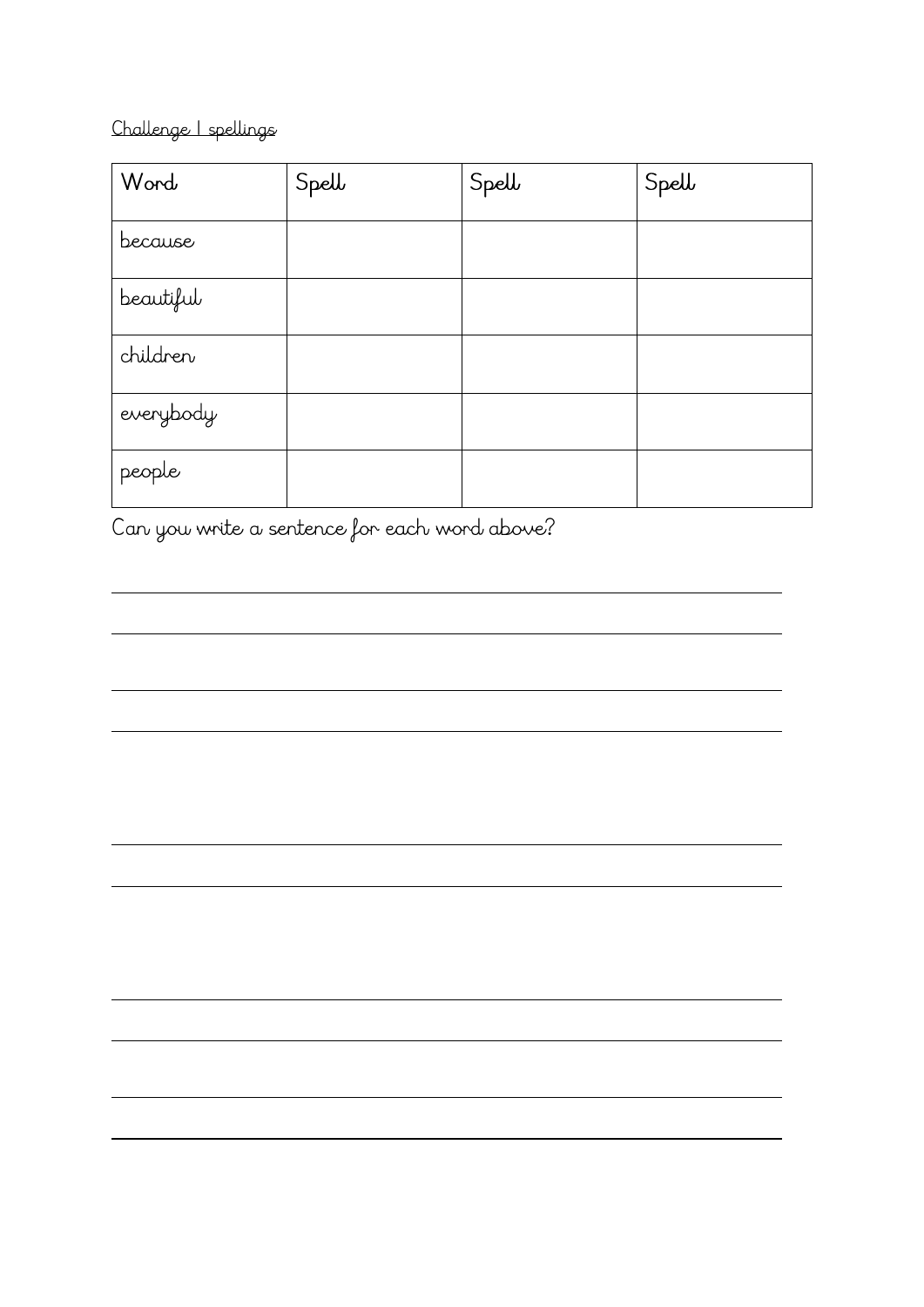#### Challenge | spellings

| Word      | Spell | Spell | Spell |
|-----------|-------|-------|-------|
| because   |       |       |       |
| beautiful |       |       |       |
| children  |       |       |       |
| everybody |       |       |       |
| people    |       |       |       |

<u> 1980 - Jan Samuel Barbara, margaret e populari e populari e populari e populari e populari e populari e popu</u>

Can you write a sentence for each word above?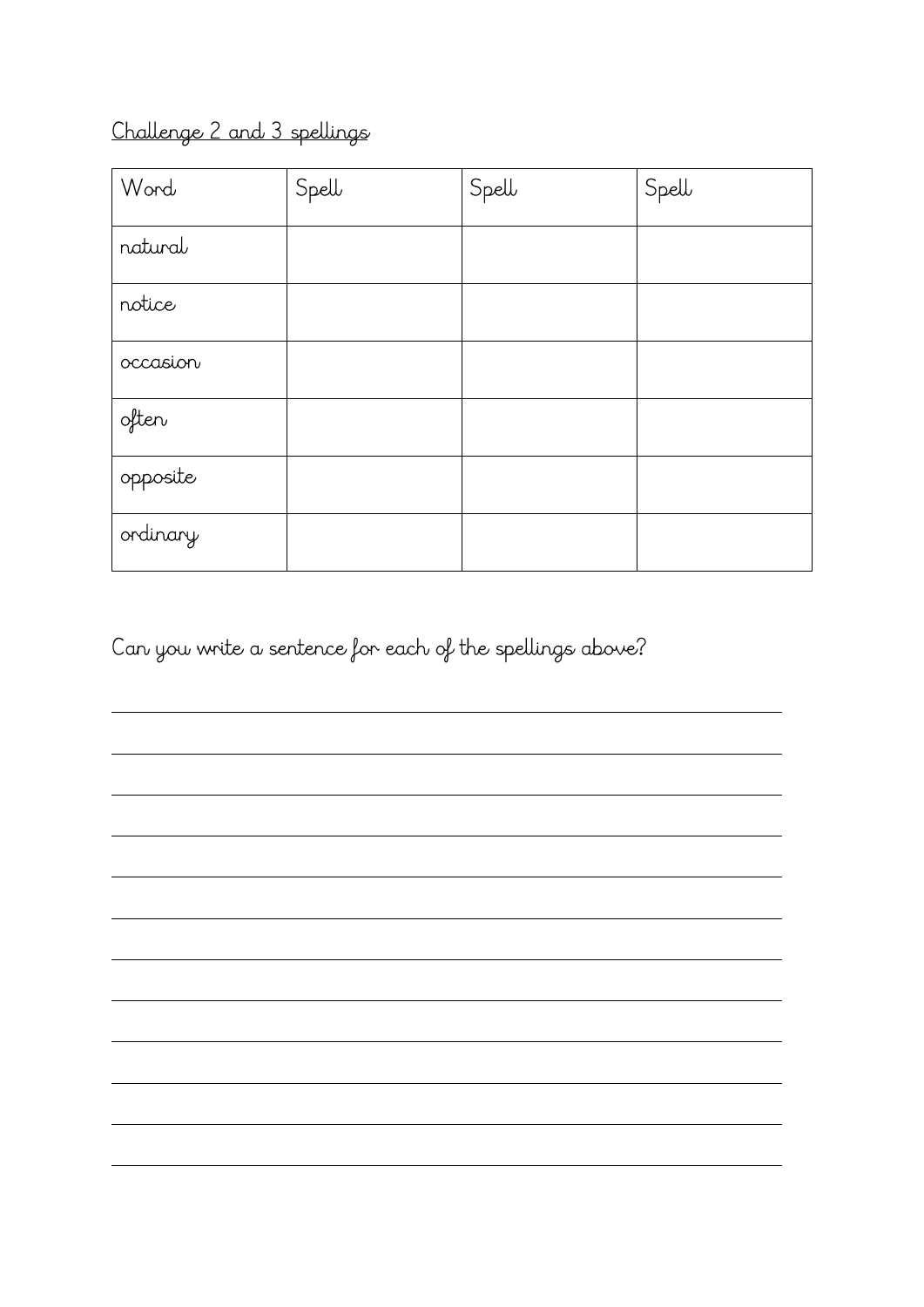# Challenge 2 and 3 spellings

| Word     | Spell | Spell | Spell |
|----------|-------|-------|-------|
| natural  |       |       |       |
| notice   |       |       |       |
| occasion |       |       |       |
| often    |       |       |       |
| opposite |       |       |       |
| ordinary |       |       |       |

Can you write a sentence for each of the spellings above?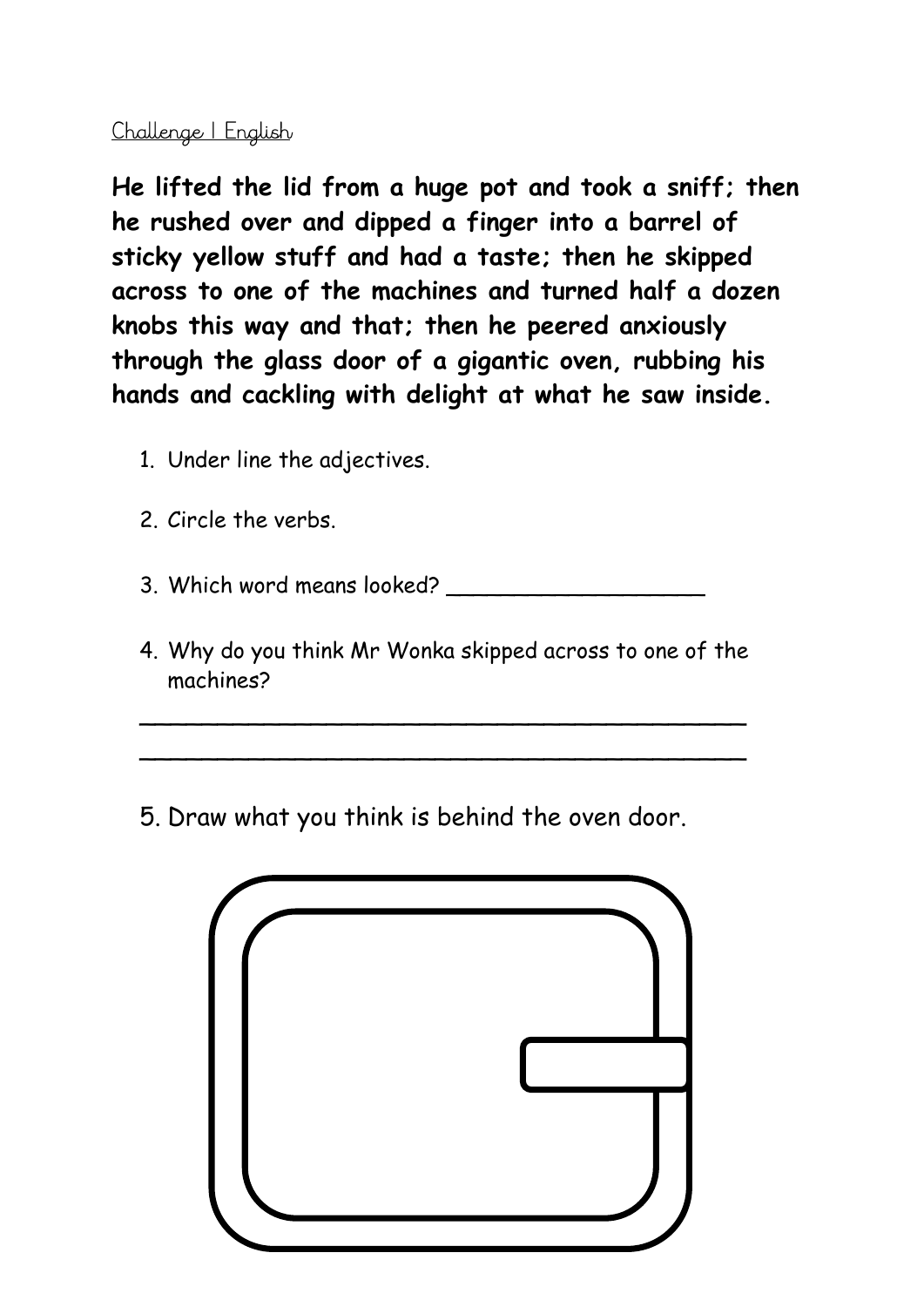## Challenge | English

**He lifted the lid from a huge pot and took a sniff; then he rushed over and dipped a finger into a barrel of sticky yellow stuff and had a taste; then he skipped across to one of the machines and turned half a dozen knobs this way and that; then he peered anxiously through the glass door of a gigantic oven, rubbing his hands and cackling with delight at what he saw inside.** 

- 1. Under line the adjectives.
- 2. Circle the verbs.

3. Which word means looked?

4. Why do you think Mr Wonka skipped across to one of the machines?

\_\_\_\_\_\_\_\_\_\_\_\_\_\_\_\_\_\_\_\_\_\_\_\_\_\_\_\_\_\_\_\_\_\_\_\_\_\_\_

\_\_\_\_\_\_\_\_\_\_\_\_\_\_\_\_\_\_\_\_\_\_\_\_\_\_\_\_\_\_\_\_\_\_\_\_\_\_\_

5. Draw what you think is behind the oven door.

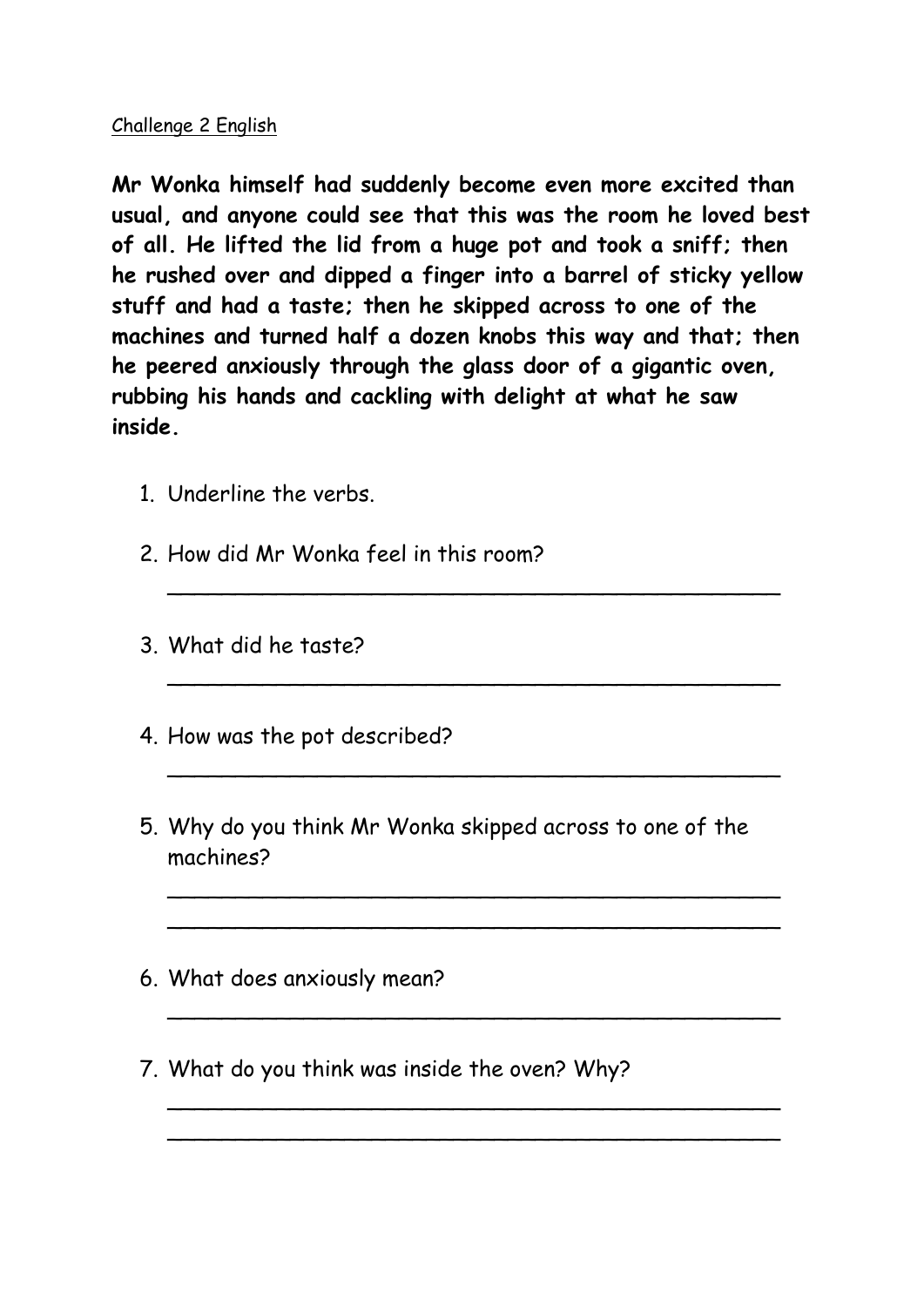#### Challenge 2 English

**Mr Wonka himself had suddenly become even more excited than usual, and anyone could see that this was the room he loved best of all. He lifted the lid from a huge pot and took a sniff; then he rushed over and dipped a finger into a barrel of sticky yellow stuff and had a taste; then he skipped across to one of the machines and turned half a dozen knobs this way and that; then he peered anxiously through the glass door of a gigantic oven, rubbing his hands and cackling with delight at what he saw inside.** 

\_\_\_\_\_\_\_\_\_\_\_\_\_\_\_\_\_\_\_\_\_\_\_\_\_\_\_\_\_\_\_\_\_\_\_\_\_\_\_\_\_\_\_\_\_

\_\_\_\_\_\_\_\_\_\_\_\_\_\_\_\_\_\_\_\_\_\_\_\_\_\_\_\_\_\_\_\_\_\_\_\_\_\_\_\_\_\_\_\_\_

\_\_\_\_\_\_\_\_\_\_\_\_\_\_\_\_\_\_\_\_\_\_\_\_\_\_\_\_\_\_\_\_\_\_\_\_\_\_\_\_\_\_\_\_\_

\_\_\_\_\_\_\_\_\_\_\_\_\_\_\_\_\_\_\_\_\_\_\_\_\_\_\_\_\_\_\_\_\_\_\_\_\_\_\_\_\_\_\_\_\_ \_\_\_\_\_\_\_\_\_\_\_\_\_\_\_\_\_\_\_\_\_\_\_\_\_\_\_\_\_\_\_\_\_\_\_\_\_\_\_\_\_\_\_\_\_

\_\_\_\_\_\_\_\_\_\_\_\_\_\_\_\_\_\_\_\_\_\_\_\_\_\_\_\_\_\_\_\_\_\_\_\_\_\_\_\_\_\_\_\_\_

\_\_\_\_\_\_\_\_\_\_\_\_\_\_\_\_\_\_\_\_\_\_\_\_\_\_\_\_\_\_\_\_\_\_\_\_\_\_\_\_\_\_\_\_\_ \_\_\_\_\_\_\_\_\_\_\_\_\_\_\_\_\_\_\_\_\_\_\_\_\_\_\_\_\_\_\_\_\_\_\_\_\_\_\_\_\_\_\_\_\_

- 1. Underline the verbs.
- 2. How did Mr Wonka feel in this room?
- 3. What did he taste?
- 4. How was the pot described?
- 5. Why do you think Mr Wonka skipped across to one of the machines?
- 6. What does anxiously mean?
- 7. What do you think was inside the oven? Why?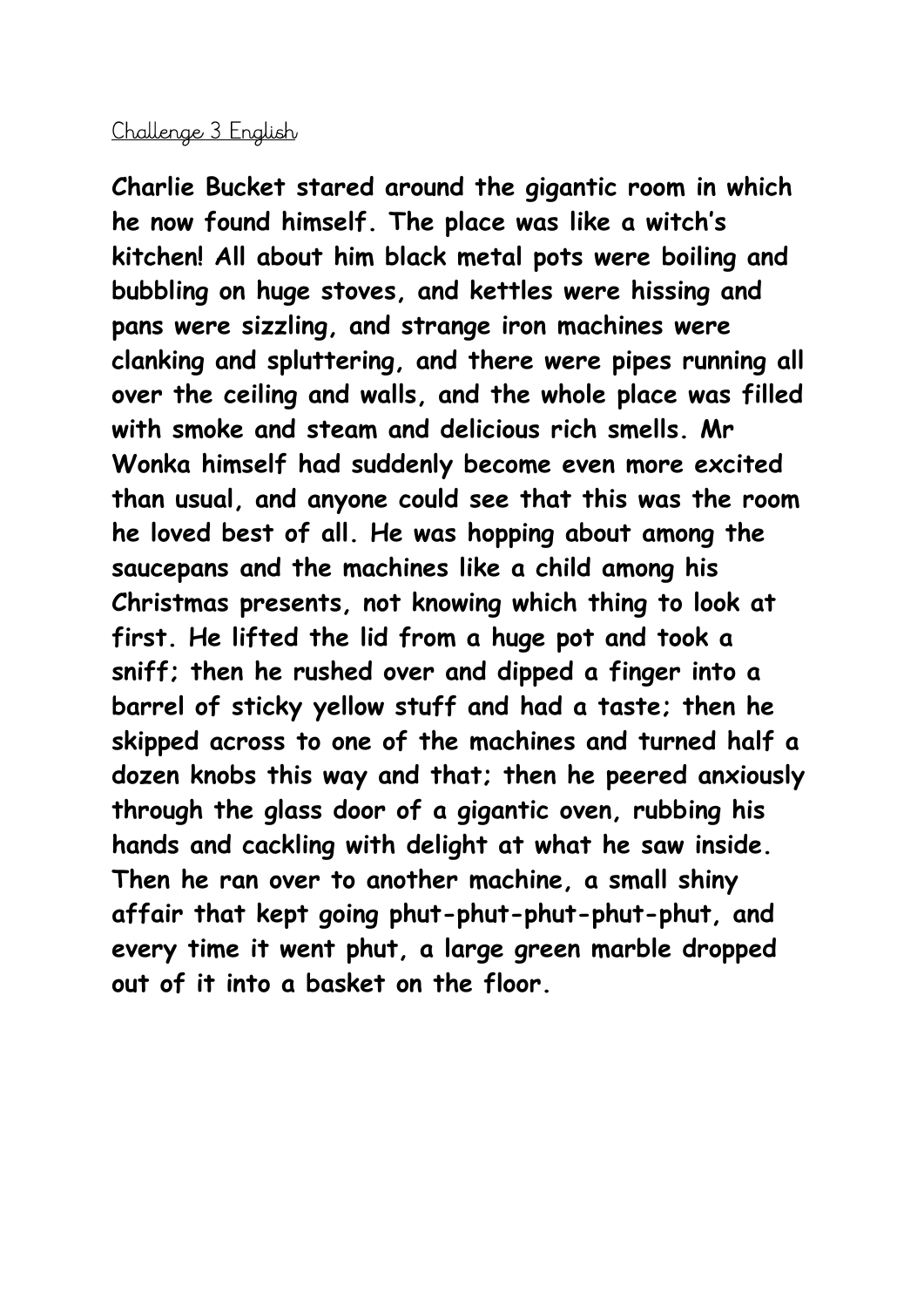#### Challenge 3 English

**Charlie Bucket stared around the gigantic room in which he now found himself. The place was like a witch's kitchen! All about him black metal pots were boiling and bubbling on huge stoves, and kettles were hissing and pans were sizzling, and strange iron machines were clanking and spluttering, and there were pipes running all over the ceiling and walls, and the whole place was filled with smoke and steam and delicious rich smells. Mr Wonka himself had suddenly become even more excited than usual, and anyone could see that this was the room he loved best of all. He was hopping about among the saucepans and the machines like a child among his Christmas presents, not knowing which thing to look at first. He lifted the lid from a huge pot and took a sniff; then he rushed over and dipped a finger into a barrel of sticky yellow stuff and had a taste; then he skipped across to one of the machines and turned half a dozen knobs this way and that; then he peered anxiously through the glass door of a gigantic oven, rubbing his hands and cackling with delight at what he saw inside. Then he ran over to another machine, a small shiny affair that kept going phut-phut-phut-phut-phut, and every time it went phut, a large green marble dropped out of it into a basket on the floor.**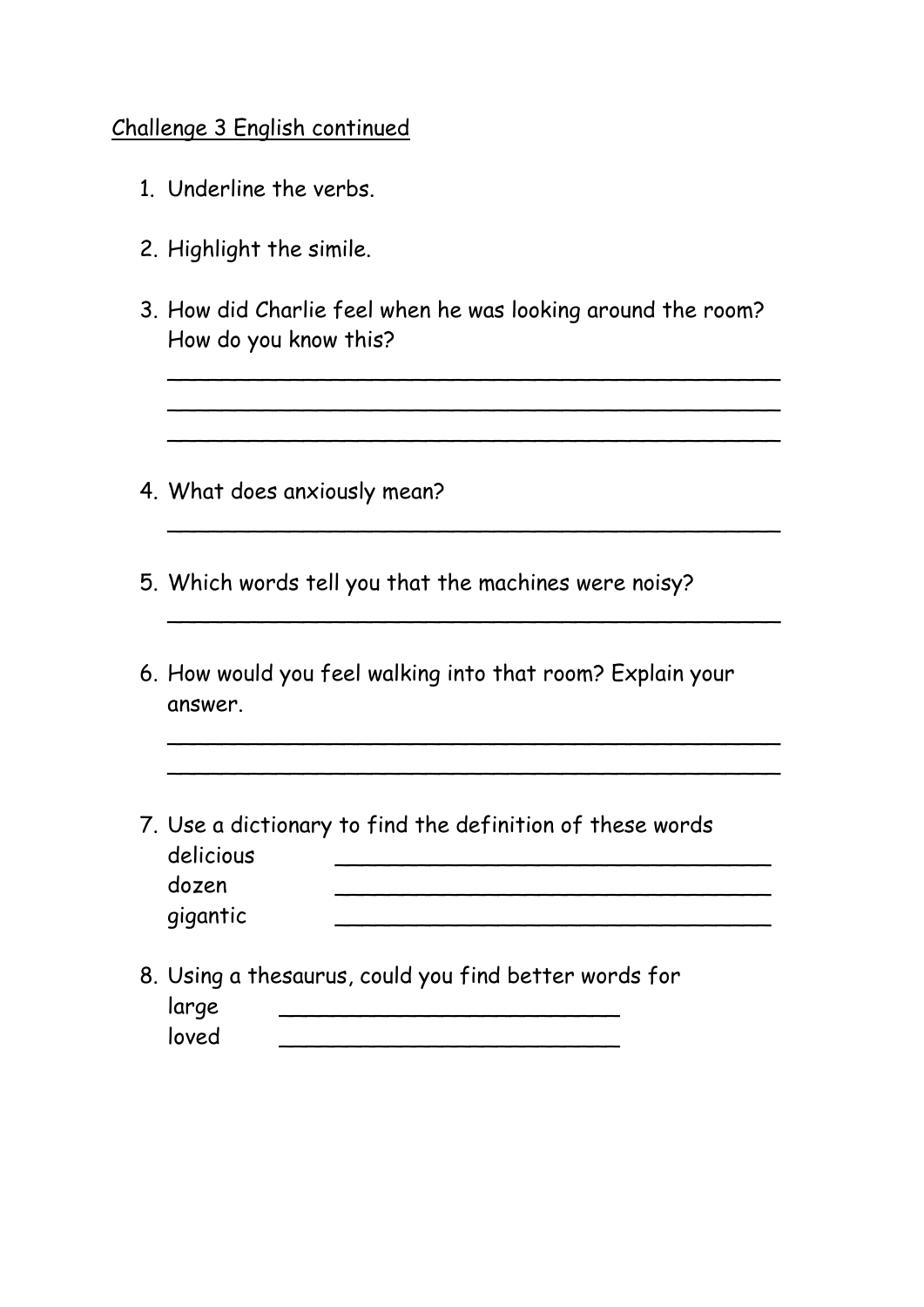#### Challenge 3 English continued

- 1. Underline the verbs.
- 2. Highlight the simile.
- 3. How did Charlie feel when he was looking around the room? How do you know this?

\_\_\_\_\_\_\_\_\_\_\_\_\_\_\_\_\_\_\_\_\_\_\_\_\_\_\_\_\_\_\_\_\_\_\_\_\_\_\_\_\_\_\_\_\_ \_\_\_\_\_\_\_\_\_\_\_\_\_\_\_\_\_\_\_\_\_\_\_\_\_\_\_\_\_\_\_\_\_\_\_\_\_\_\_\_\_\_\_\_\_ \_\_\_\_\_\_\_\_\_\_\_\_\_\_\_\_\_\_\_\_\_\_\_\_\_\_\_\_\_\_\_\_\_\_\_\_\_\_\_\_\_\_\_\_\_

\_\_\_\_\_\_\_\_\_\_\_\_\_\_\_\_\_\_\_\_\_\_\_\_\_\_\_\_\_\_\_\_\_\_\_\_\_\_\_\_\_\_\_\_\_

\_\_\_\_\_\_\_\_\_\_\_\_\_\_\_\_\_\_\_\_\_\_\_\_\_\_\_\_\_\_\_\_\_\_\_\_\_\_\_\_\_\_\_\_\_

\_\_\_\_\_\_\_\_\_\_\_\_\_\_\_\_\_\_\_\_\_\_\_\_\_\_\_\_\_\_\_\_\_\_\_\_\_\_\_\_\_\_\_\_\_ \_\_\_\_\_\_\_\_\_\_\_\_\_\_\_\_\_\_\_\_\_\_\_\_\_\_\_\_\_\_\_\_\_\_\_\_\_\_\_\_\_\_\_\_\_

- 4. What does anxiously mean?
- 5. Which words tell you that the machines were noisy?
- 6. How would you feel walking into that room? Explain your answer.
- 7. Use a dictionary to find the definition of these words delicious dozen \_\_\_\_\_\_\_\_\_\_\_\_\_\_\_\_\_\_\_\_\_\_\_\_\_\_\_\_\_\_\_\_ gigantic \_\_\_\_\_\_\_\_\_\_\_\_\_\_\_\_\_\_\_\_\_\_\_\_\_\_\_\_\_\_\_\_
- 8. Using a thesaurus, could you find better words for large <u>\_\_\_\_\_\_\_\_\_\_\_\_\_\_\_\_\_\_\_\_\_\_\_\_\_</u>  $\lvert \text{oved} \rvert$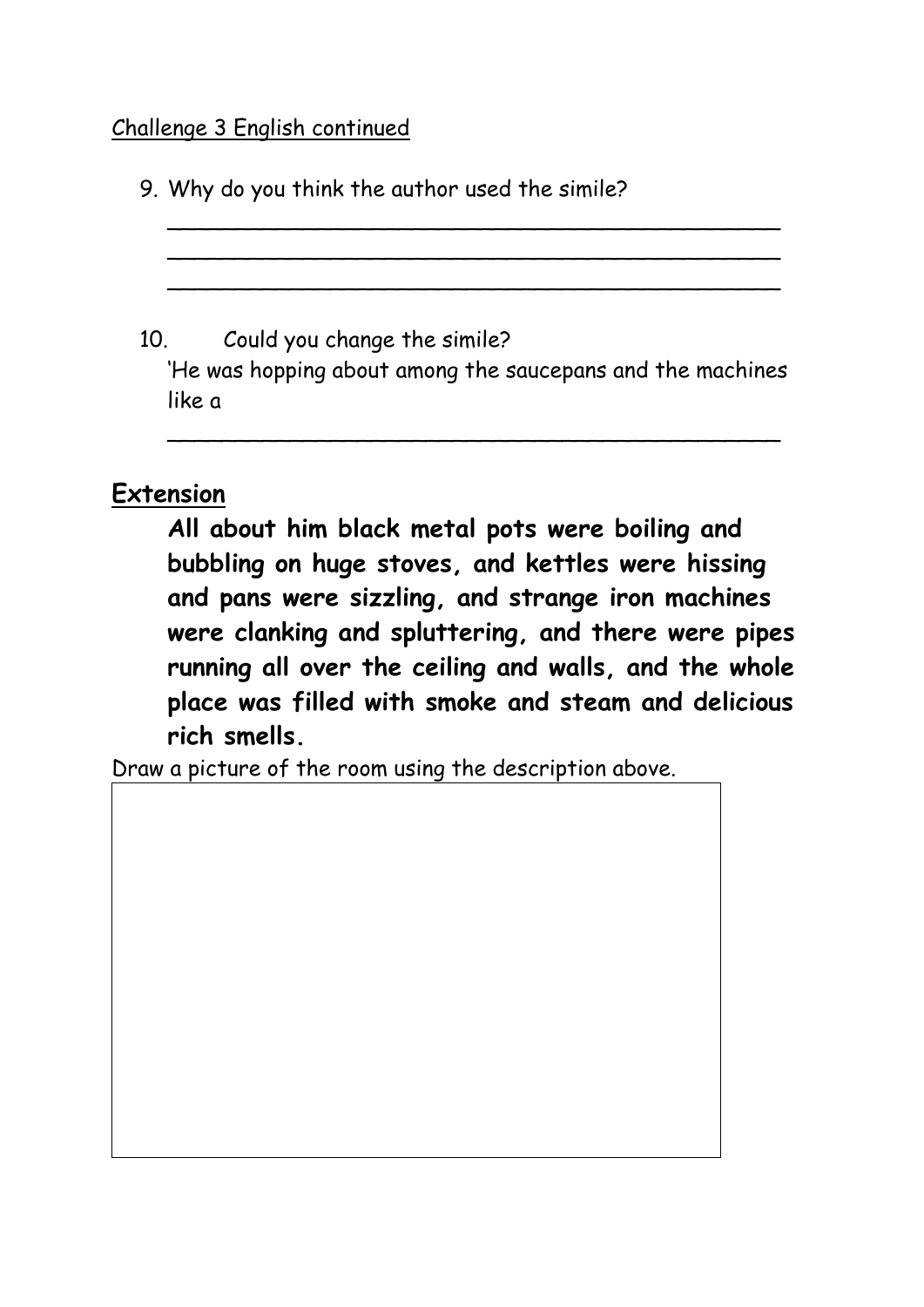#### Challenge 3 English continued

9. Why do you think the author used the simile?

10. Could you change the simile?

'He was hopping about among the saucepans and the machines like a

\_\_\_\_\_\_\_\_\_\_\_\_\_\_\_\_\_\_\_\_\_\_\_\_\_\_\_\_\_\_\_\_\_\_\_\_\_\_\_\_\_\_\_\_\_

\_\_\_\_\_\_\_\_\_\_\_\_\_\_\_\_\_\_\_\_\_\_\_\_\_\_\_\_\_\_\_\_\_\_\_\_\_\_\_\_\_\_\_\_\_ \_\_\_\_\_\_\_\_\_\_\_\_\_\_\_\_\_\_\_\_\_\_\_\_\_\_\_\_\_\_\_\_\_\_\_\_\_\_\_\_\_\_\_\_\_ \_\_\_\_\_\_\_\_\_\_\_\_\_\_\_\_\_\_\_\_\_\_\_\_\_\_\_\_\_\_\_\_\_\_\_\_\_\_\_\_\_\_\_\_\_

## **Extension**

**All about him black metal pots were boiling and bubbling on huge stoves, and kettles were hissing and pans were sizzling, and strange iron machines were clanking and spluttering, and there were pipes running all over the ceiling and walls, and the whole place was filled with smoke and steam and delicious rich smells.**

Draw a picture of the room using the description above.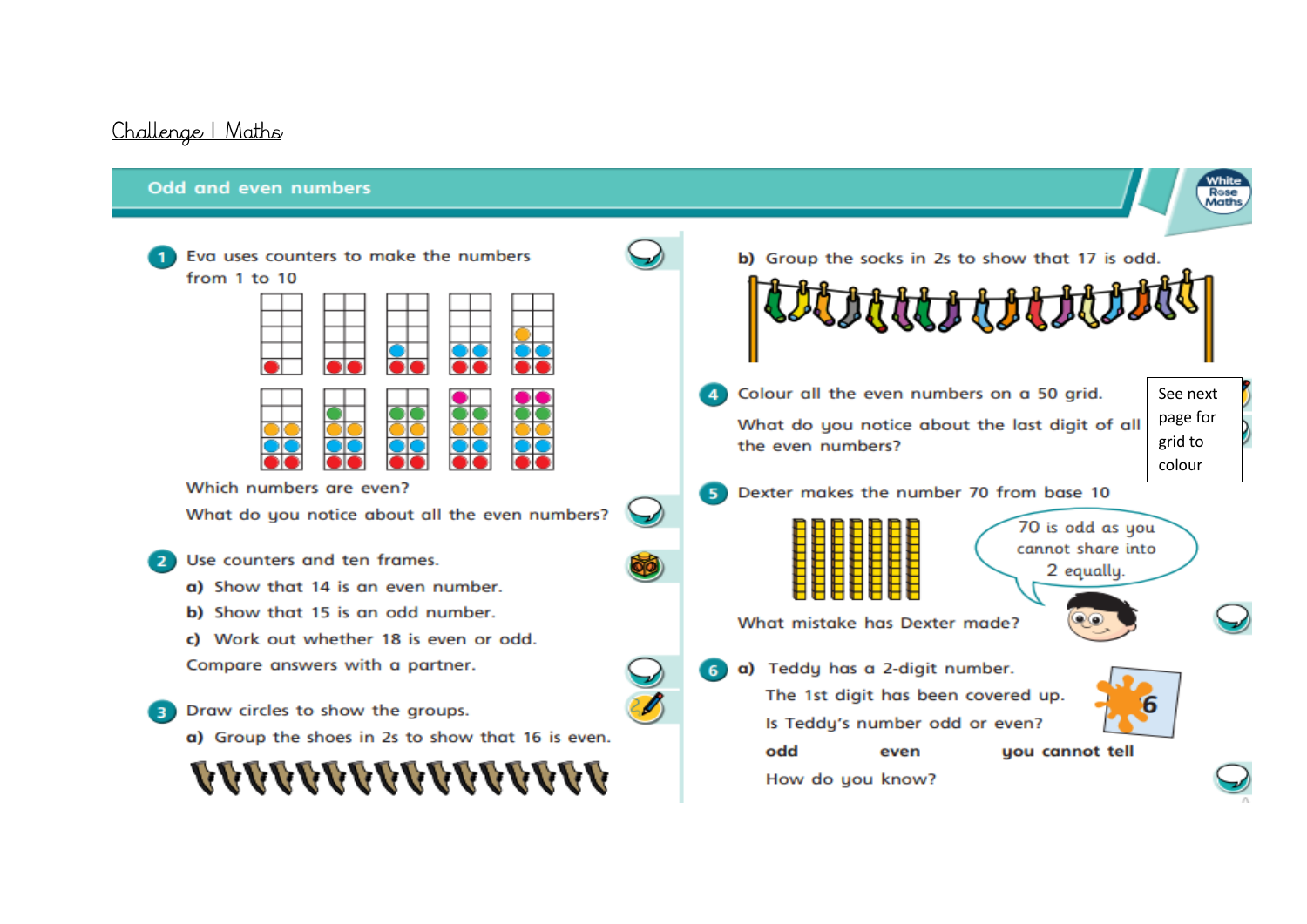#### Challenge | Maths

#### Odd and even numbers

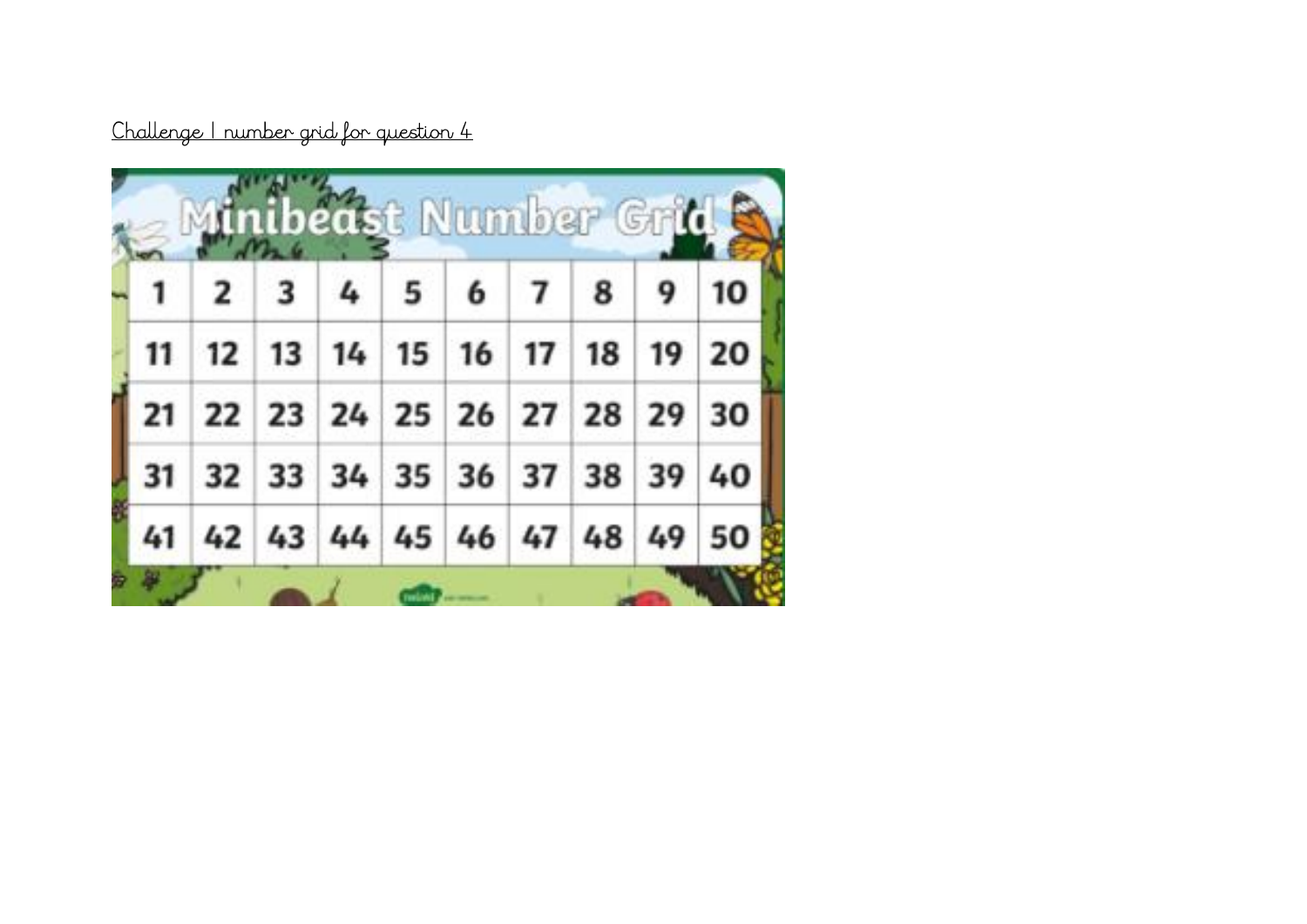Challenge | number grid for question 4

|                                                 |                                                              | Minibeast Number Grid S |  |  |
|-------------------------------------------------|--------------------------------------------------------------|-------------------------|--|--|
|                                                 | $2 \mid 3 \mid 4 \mid 5 \mid 6 \mid 7 \mid 8 \mid 9 \mid 10$ |                         |  |  |
| 11   12   13   14   15   16   17   18   19   20 |                                                              |                         |  |  |
| 21 22 23 24 25 26 27 28 29 30                   |                                                              |                         |  |  |
| 31 32 33 34 35 36 37 38 39 40                   |                                                              |                         |  |  |
| 41 42 43 44 45 46 47 48 49 50                   |                                                              |                         |  |  |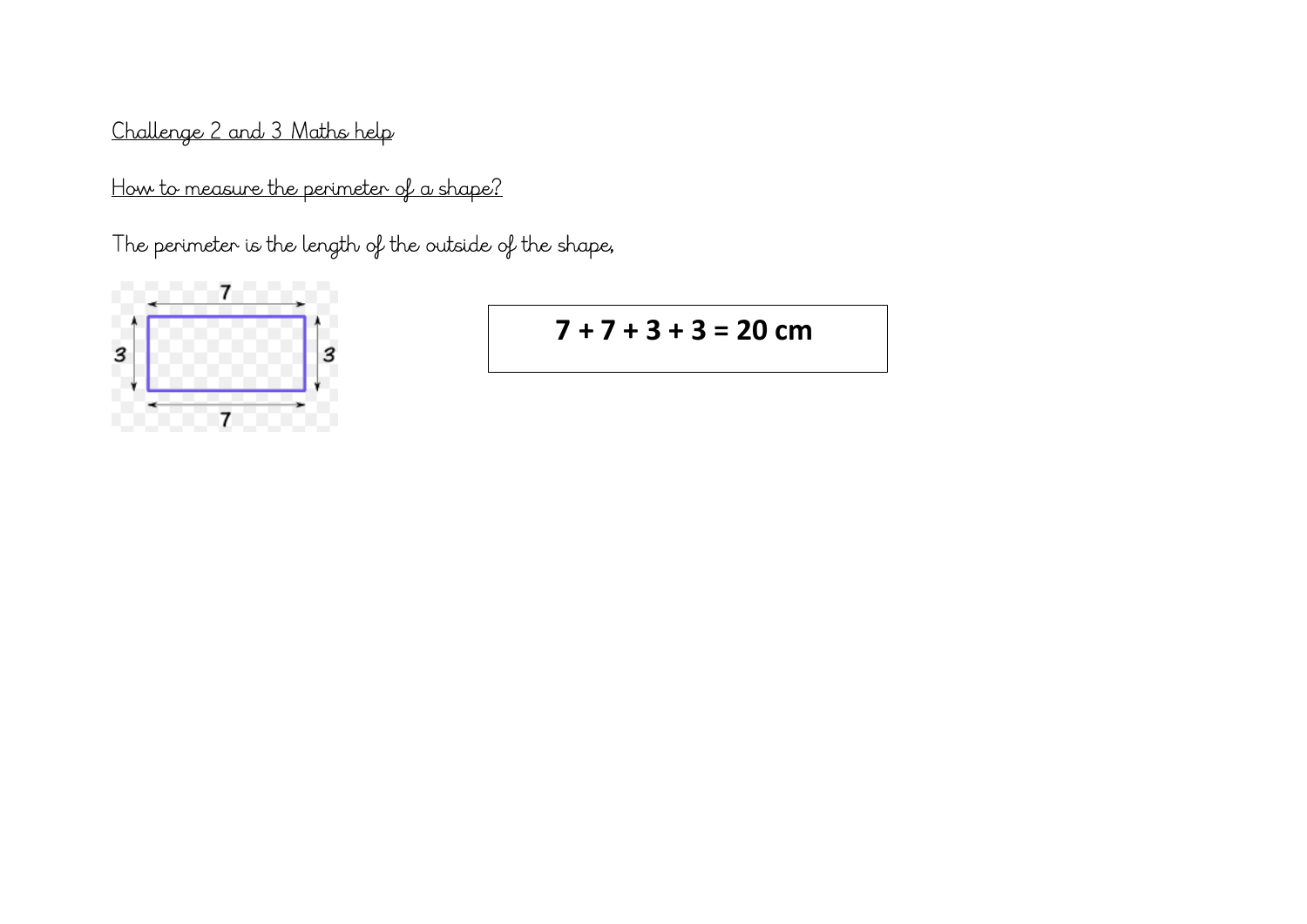Challenge 2 and 3 Maths help

How to measure the perimeter of a shape?

The perimeter is the length of the outside of the shape,



 $7 + 7 + 3 + 3 = 20$  cm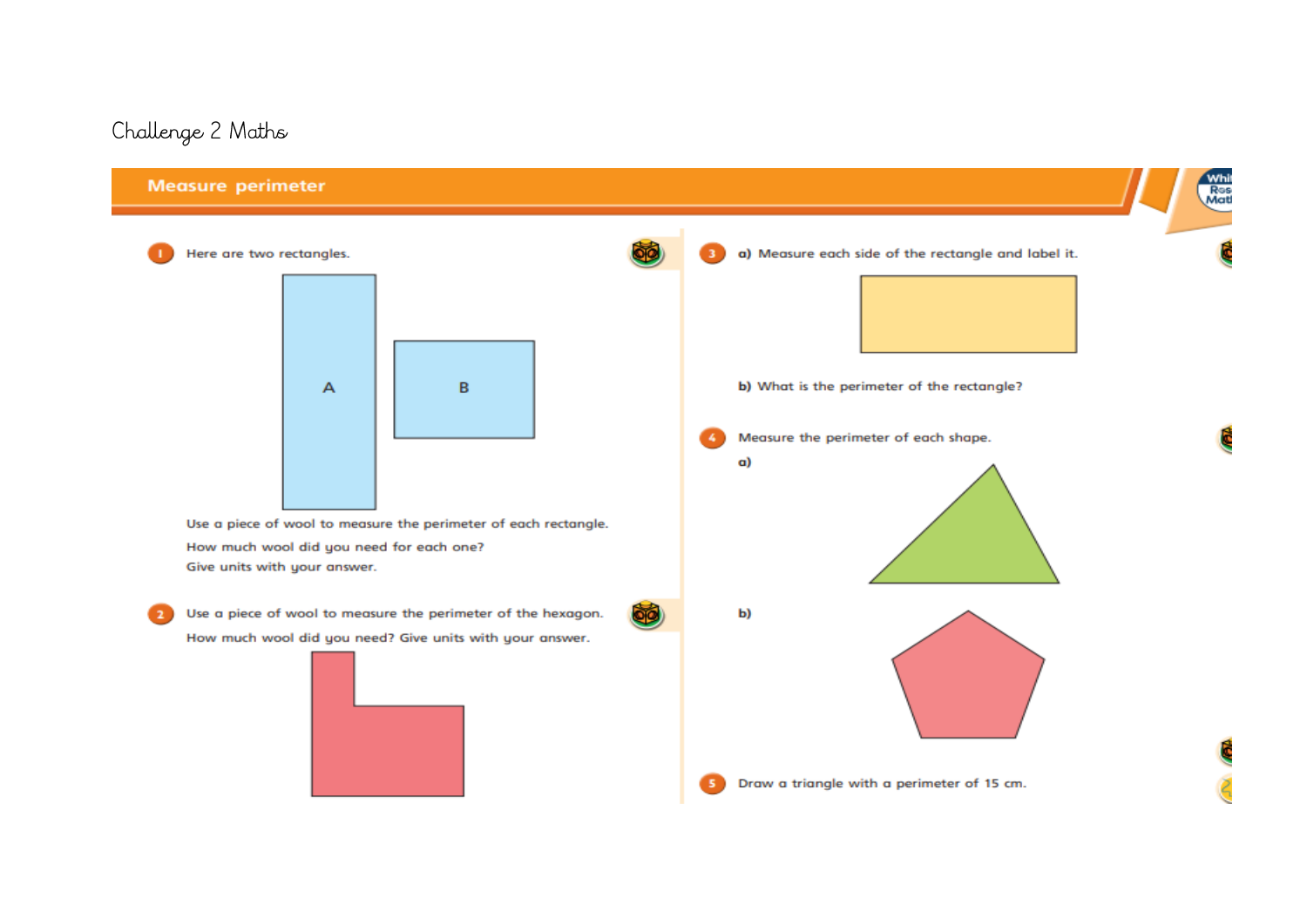# Challenge 2 Maths

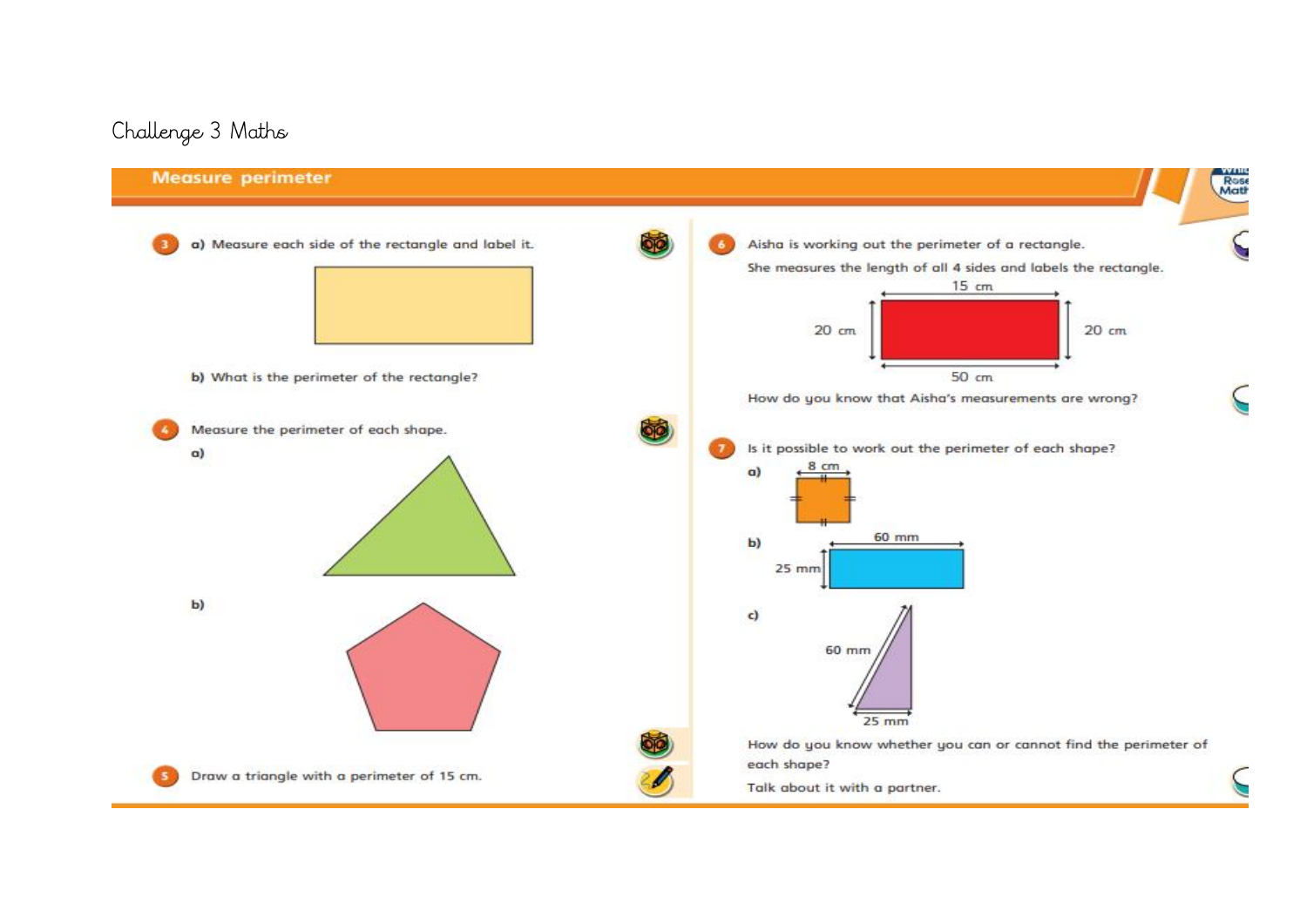## Challenge 3 Maths

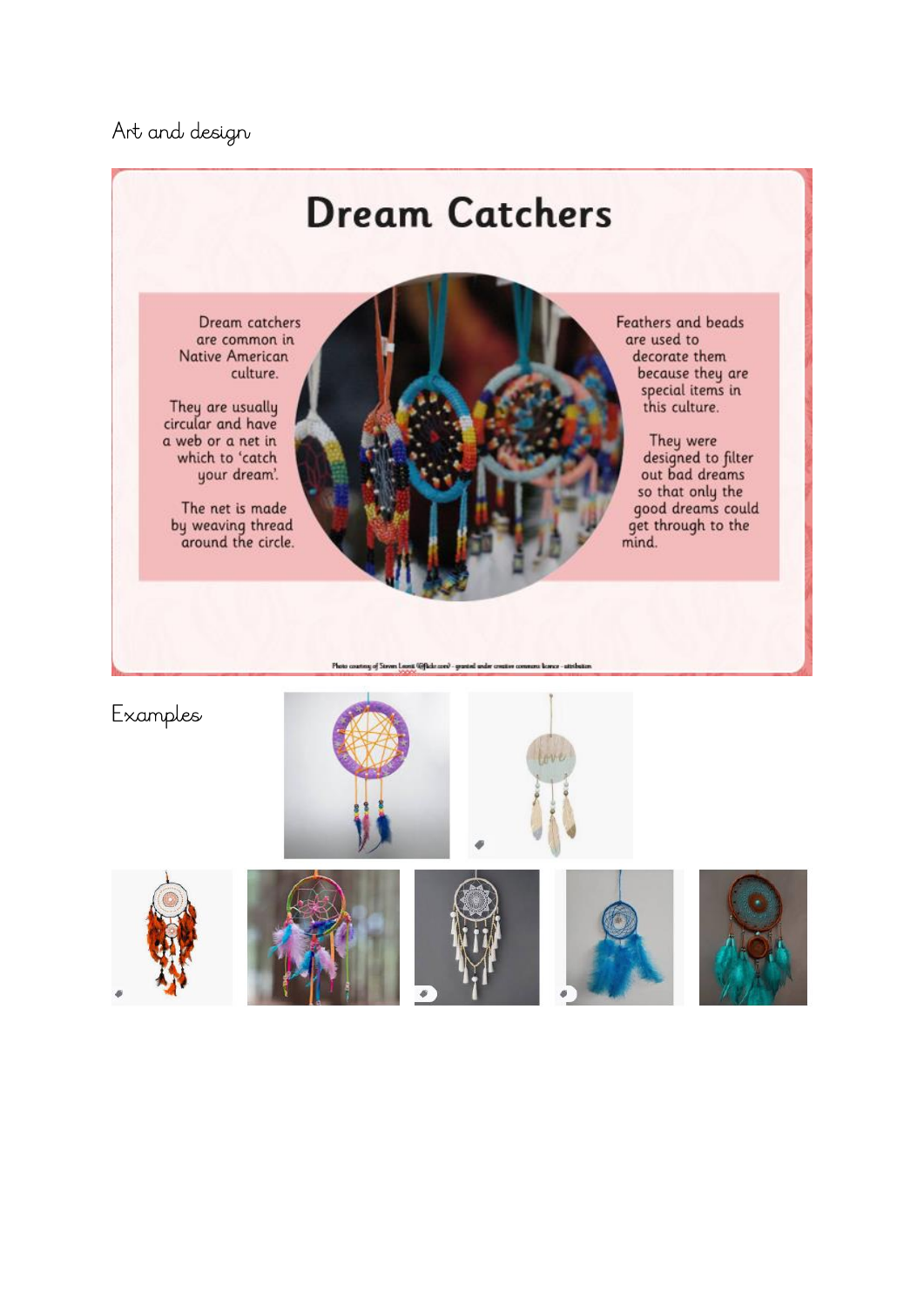Art and design